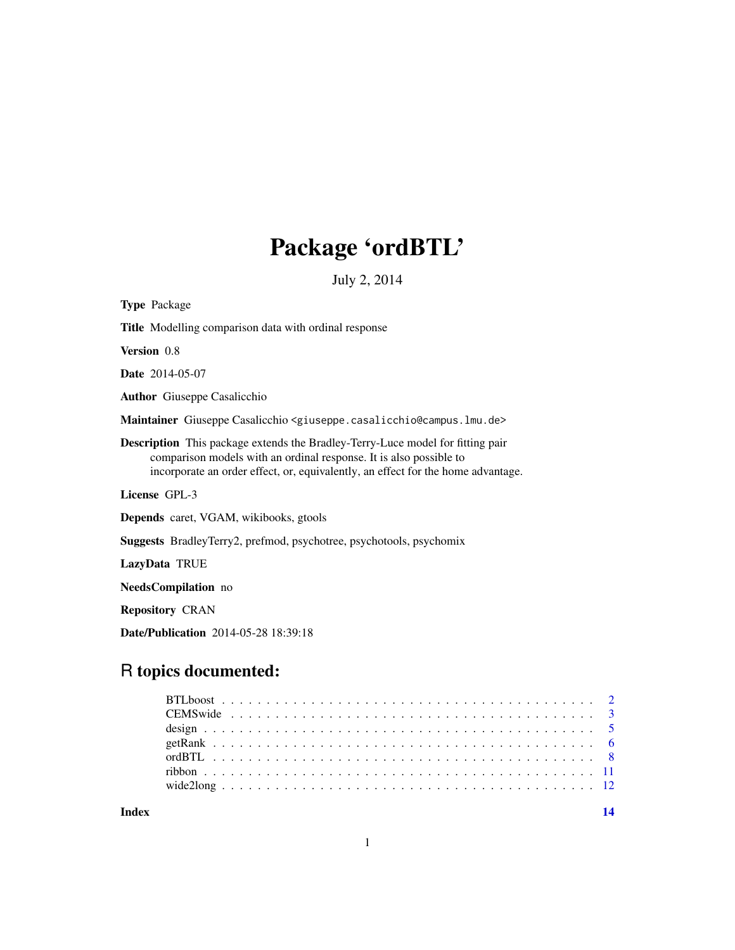# Package 'ordBTL'

July 2, 2014

<span id="page-0-0"></span>

| <b>Type Package</b>                                                                                                                                                                                                                             |
|-------------------------------------------------------------------------------------------------------------------------------------------------------------------------------------------------------------------------------------------------|
| <b>Title</b> Modelling comparison data with ordinal response                                                                                                                                                                                    |
| Version 0.8                                                                                                                                                                                                                                     |
| <b>Date</b> 2014-05-07                                                                                                                                                                                                                          |
| <b>Author</b> Giuseppe Casalicchio                                                                                                                                                                                                              |
| Maintainer Giuseppe Casalicchio <giuseppe.casalicchio@campus.lmu.de></giuseppe.casalicchio@campus.lmu.de>                                                                                                                                       |
| <b>Description</b> This package extends the Bradley-Terry-Luce model for fitting pair<br>comparison models with an ordinal response. It is also possible to<br>incorporate an order effect, or, equivalently, an effect for the home advantage. |
| License GPL-3                                                                                                                                                                                                                                   |
| <b>Depends</b> caret, VGAM, wikibooks, gtools                                                                                                                                                                                                   |
| <b>Suggests</b> BradleyTerry2, prefmod, psychotree, psychotools, psychomix                                                                                                                                                                      |
| LazyData TRUE                                                                                                                                                                                                                                   |
| NeedsCompilation no                                                                                                                                                                                                                             |
|                                                                                                                                                                                                                                                 |

Repository CRAN

Date/Publication 2014-05-28 18:39:18

# R topics documented:

**Index** 2008 **[14](#page-13-0)**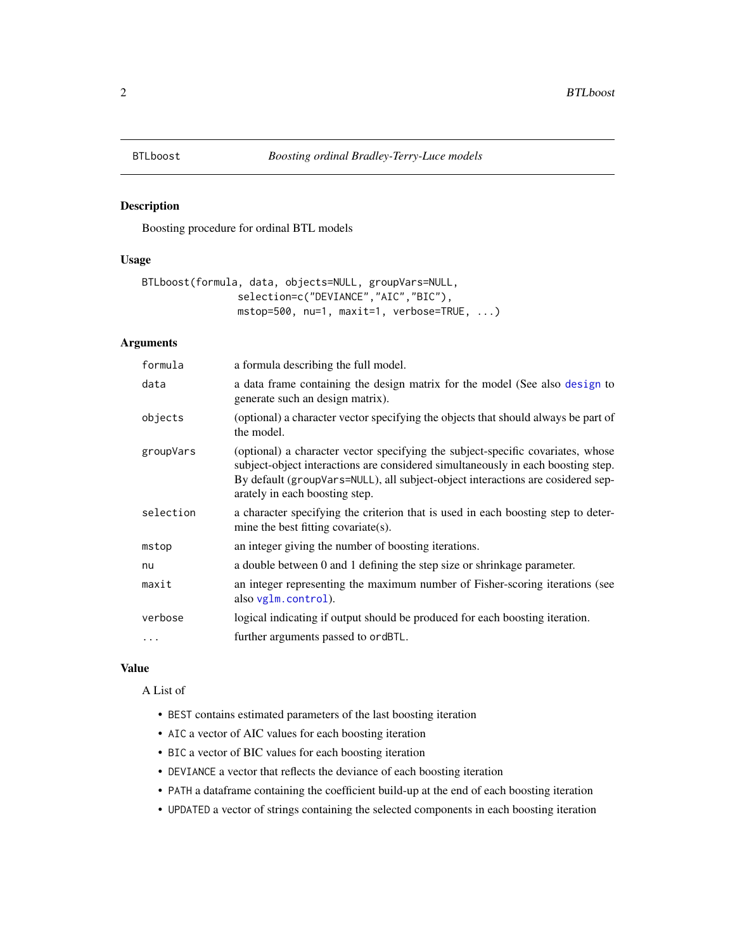<span id="page-1-0"></span>

# Description

Boosting procedure for ordinal BTL models

#### Usage

```
BTLboost(formula, data, objects=NULL, groupVars=NULL,
                selection=c("DEVIANCE","AIC","BIC"),
                mstop=500, nu=1, maxit=1, verbose=TRUE, ...)
```
# Arguments

| formula   | a formula describing the full model.                                                                                                                                                                                                                                                     |
|-----------|------------------------------------------------------------------------------------------------------------------------------------------------------------------------------------------------------------------------------------------------------------------------------------------|
| data      | a data frame containing the design matrix for the model (See also design to<br>generate such an design matrix).                                                                                                                                                                          |
| objects   | (optional) a character vector specifying the objects that should always be part of<br>the model.                                                                                                                                                                                         |
| groupVars | (optional) a character vector specifying the subject-specific covariates, whose<br>subject-object interactions are considered simultaneously in each boosting step.<br>By default (groupVars=NULL), all subject-object interactions are cosidered sep-<br>arately in each boosting step. |
| selection | a character specifying the criterion that is used in each boosting step to deter-<br>mine the best fitting covariate(s).                                                                                                                                                                 |
| mstop     | an integer giving the number of boosting iterations.                                                                                                                                                                                                                                     |
| nu        | a double between 0 and 1 defining the step size or shrinkage parameter.                                                                                                                                                                                                                  |
| maxit     | an integer representing the maximum number of Fisher-scoring iterations (see<br>also vglm.control).                                                                                                                                                                                      |
| verbose   | logical indicating if output should be produced for each boosting iteration.                                                                                                                                                                                                             |
| $\cdots$  | further arguments passed to ordBTL.                                                                                                                                                                                                                                                      |

#### Value

A List of

- BEST contains estimated parameters of the last boosting iteration
- AIC a vector of AIC values for each boosting iteration
- BIC a vector of BIC values for each boosting iteration
- DEVIANCE a vector that reflects the deviance of each boosting iteration
- PATH a dataframe containing the coefficient build-up at the end of each boosting iteration
- UPDATED a vector of strings containing the selected components in each boosting iteration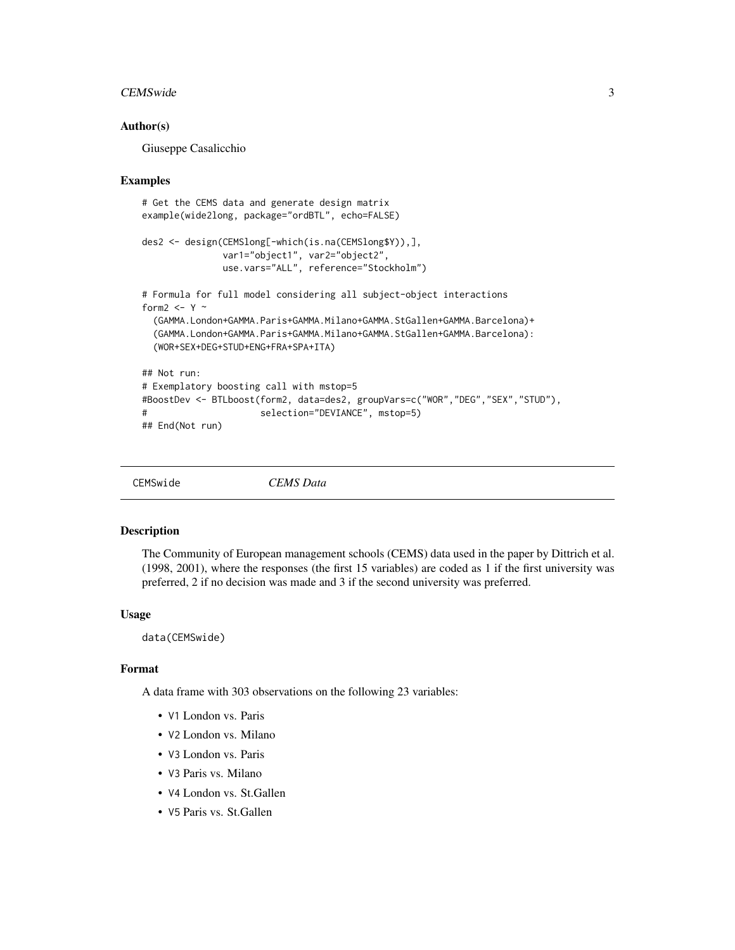#### <span id="page-2-0"></span>CEMSwide 3

# Author(s)

Giuseppe Casalicchio

#### Examples

```
# Get the CEMS data and generate design matrix
example(wide2long, package="ordBTL", echo=FALSE)
des2 <- design(CEMSlong[-which(is.na(CEMSlong$Y)),],
              var1="object1", var2="object2",
              use.vars="ALL", reference="Stockholm")
# Formula for full model considering all subject-object interactions
form2 <- Y \sim(GAMMA.London+GAMMA.Paris+GAMMA.Milano+GAMMA.StGallen+GAMMA.Barcelona)+
 (GAMMA.London+GAMMA.Paris+GAMMA.Milano+GAMMA.StGallen+GAMMA.Barcelona):
 (WOR+SEX+DEG+STUD+ENG+FRA+SPA+ITA)
## Not run:
# Exemplatory boosting call with mstop=5
#BoostDev <- BTLboost(form2, data=des2, groupVars=c("WOR","DEG","SEX","STUD"),
# selection="DEVIANCE", mstop=5)
## End(Not run)
```

```
CEMSwide CEMS Data
```
#### Description

The Community of European management schools (CEMS) data used in the paper by Dittrich et al. (1998, 2001), where the responses (the first 15 variables) are coded as 1 if the first university was preferred, 2 if no decision was made and 3 if the second university was preferred.

## Usage

data(CEMSwide)

# Format

A data frame with 303 observations on the following 23 variables:

- V1 London vs. Paris
- V2 London vs. Milano
- V3 London vs. Paris
- V3 Paris vs. Milano
- V4 London vs. St.Gallen
- V5 Paris vs. St.Gallen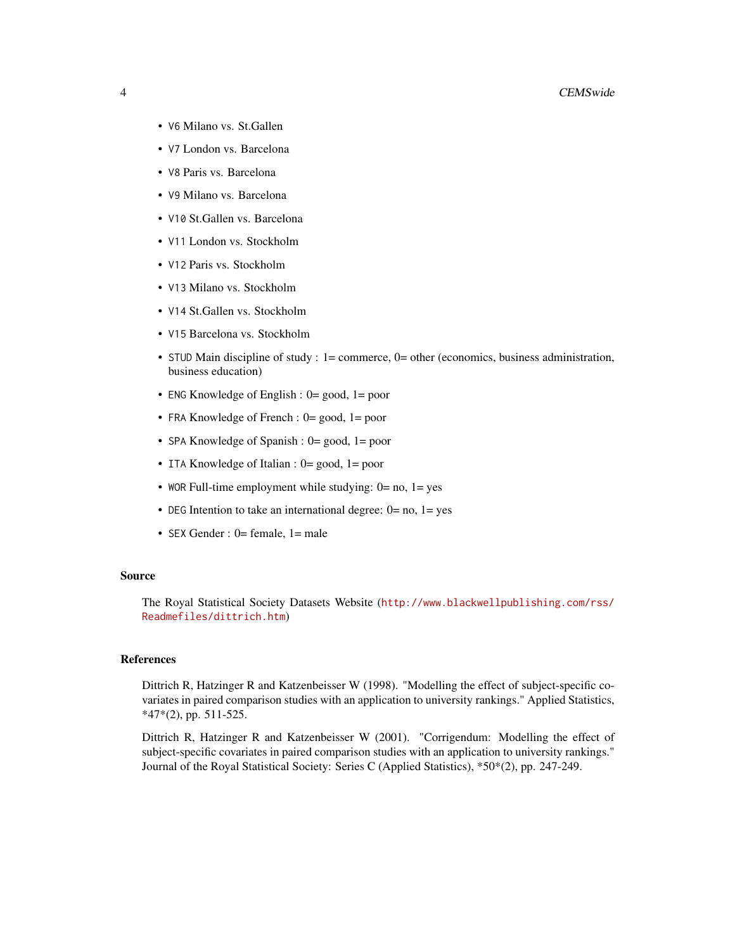- V6 Milano vs. St.Gallen
- V7 London vs. Barcelona
- V8 Paris vs. Barcelona
- V9 Milano vs. Barcelona
- V10 St.Gallen vs. Barcelona
- V11 London vs. Stockholm
- V12 Paris vs. Stockholm
- V13 Milano vs. Stockholm
- V14 St.Gallen vs. Stockholm
- V15 Barcelona vs. Stockholm
- STUD Main discipline of study :  $1 =$  commerce,  $0 =$  other (economics, business administration, business education)
- ENG Knowledge of English : 0= good, 1= poor
- FRA Knowledge of French : 0= good, 1= poor
- SPA Knowledge of Spanish : 0= good, 1= poor
- ITA Knowledge of Italian : 0= good, 1= poor
- WOR Full-time employment while studying:  $0 = no$ ,  $1 = yes$
- DEG Intention to take an international degree:  $0=$  no,  $1=$  yes
- SEX Gender : 0= female, 1= male

#### Source

The Royal Statistical Society Datasets Website ([http://www.blackwellpublishing.com/rss/](http://www.blackwellpublishing.com/rss/Readmefiles/dittrich.htm) [Readmefiles/dittrich.htm](http://www.blackwellpublishing.com/rss/Readmefiles/dittrich.htm))

# References

Dittrich R, Hatzinger R and Katzenbeisser W (1998). "Modelling the effect of subject-specific covariates in paired comparison studies with an application to university rankings." Applied Statistics, \*47\*(2), pp. 511-525.

Dittrich R, Hatzinger R and Katzenbeisser W (2001). "Corrigendum: Modelling the effect of subject-specific covariates in paired comparison studies with an application to university rankings." Journal of the Royal Statistical Society: Series C (Applied Statistics), \*50\*(2), pp. 247-249.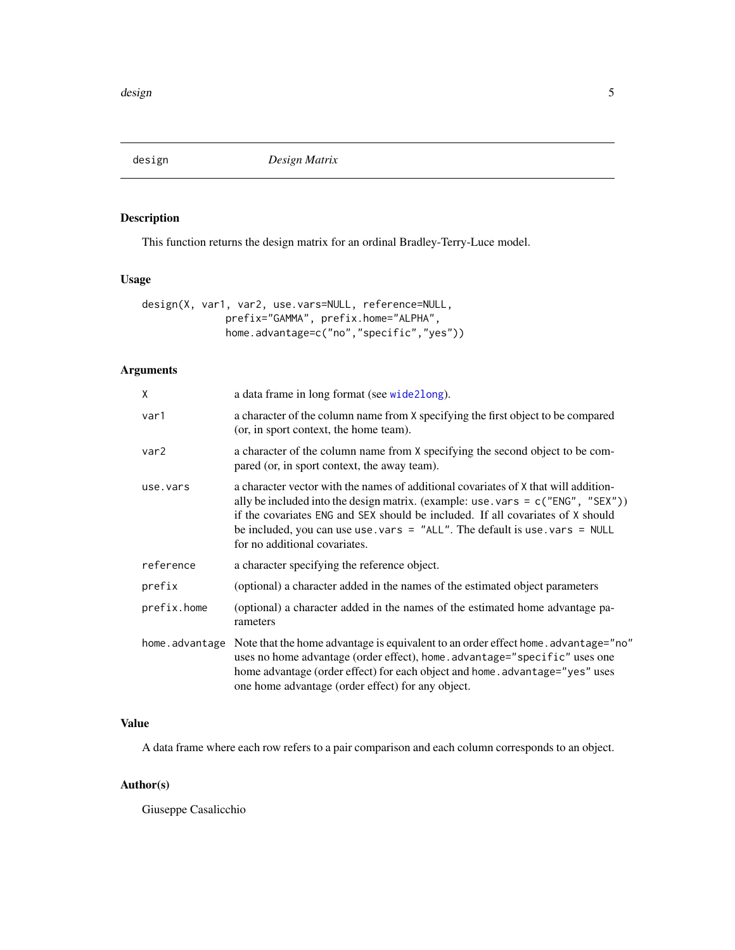<span id="page-4-1"></span><span id="page-4-0"></span>

# Description

This function returns the design matrix for an ordinal Bradley-Terry-Luce model.

# Usage

|  |  | design(X, var1, var2, use.vars=NULL, reference=NULL, |
|--|--|------------------------------------------------------|
|  |  | prefix="GAMMA", prefix.home="ALPHA",                 |
|  |  | home.advantage=c("no","specific","yes"))             |

# Arguments

| X              | a data frame in long format (see wide2long).                                                                                                                                                                                                                                                                                                                                   |
|----------------|--------------------------------------------------------------------------------------------------------------------------------------------------------------------------------------------------------------------------------------------------------------------------------------------------------------------------------------------------------------------------------|
| var1           | a character of the column name from X specifying the first object to be compared<br>(or, in sport context, the home team).                                                                                                                                                                                                                                                     |
| var2           | a character of the column name from X specifying the second object to be com-<br>pared (or, in sport context, the away team).                                                                                                                                                                                                                                                  |
| use.vars       | a character vector with the names of additional covariates of X that will addition-<br>ally be included into the design matrix. (example: use . vars = $c("ENG", "SEX"))$ )<br>if the covariates ENG and SEX should be included. If all covariates of X should<br>be included, you can use use. vars = "ALL". The default is use. vars = NULL<br>for no additional covariates. |
| reference      | a character specifying the reference object.                                                                                                                                                                                                                                                                                                                                   |
| prefix         | (optional) a character added in the names of the estimated object parameters                                                                                                                                                                                                                                                                                                   |
| prefix.home    | (optional) a character added in the names of the estimated home advantage pa-<br>rameters                                                                                                                                                                                                                                                                                      |
| home.advantage | Note that the home advantage is equivalent to an order effect home. advantage="no"<br>uses no home advantage (order effect), home.advantage="specific" uses one<br>home advantage (order effect) for each object and home. advantage="yes" uses<br>one home advantage (order effect) for any object.                                                                           |

# Value

A data frame where each row refers to a pair comparison and each column corresponds to an object.

# Author(s)

Giuseppe Casalicchio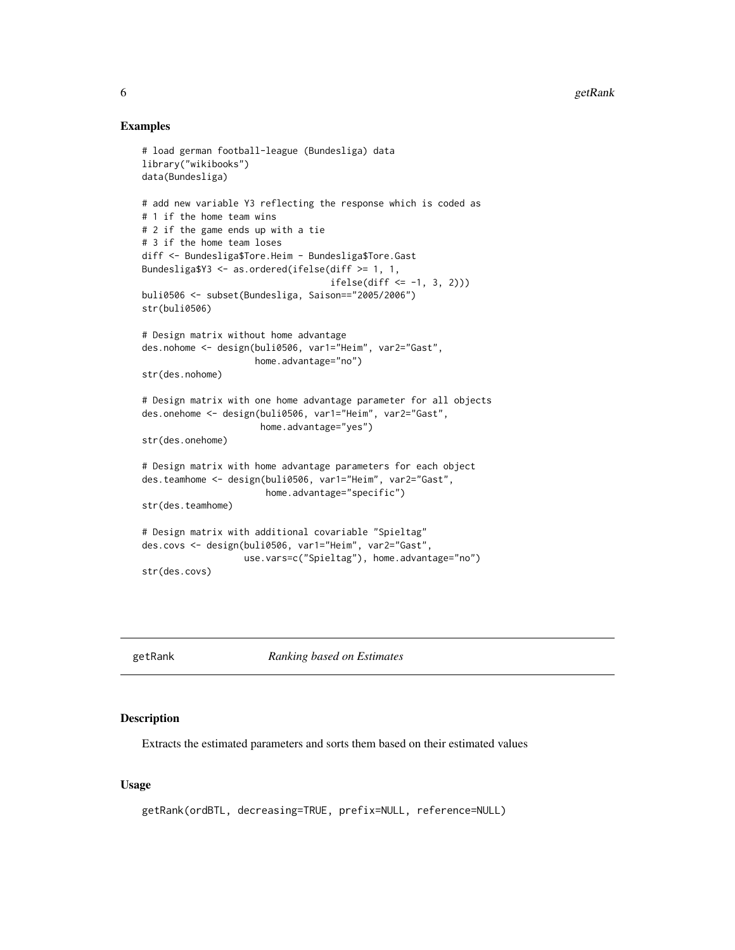# Examples

```
# load german football-league (Bundesliga) data
library("wikibooks")
data(Bundesliga)
# add new variable Y3 reflecting the response which is coded as
# 1 if the home team wins
# 2 if the game ends up with a tie
# 3 if the home team loses
diff <- Bundesliga$Tore.Heim - Bundesliga$Tore.Gast
Bundesliga$Y3 <- as.ordered(ifelse(diff >= 1, 1,
                                   ifelse(diff <= -1, 3, 2)))
buli0506 <- subset(Bundesliga, Saison=="2005/2006")
str(buli0506)
# Design matrix without home advantage
des.nohome <- design(buli0506, var1="Heim", var2="Gast",
                     home.advantage="no")
str(des.nohome)
# Design matrix with one home advantage parameter for all objects
des.onehome <- design(buli0506, var1="Heim", var2="Gast",
                      home.advantage="yes")
str(des.onehome)
# Design matrix with home advantage parameters for each object
des.teamhome <- design(buli0506, var1="Heim", var2="Gast",
                       home.advantage="specific")
str(des.teamhome)
# Design matrix with additional covariable "Spieltag"
des.covs <- design(buli0506, var1="Heim", var2="Gast",
                   use.vars=c("Spieltag"), home.advantage="no")
str(des.covs)
```
getRank *Ranking based on Estimates*

## Description

Extracts the estimated parameters and sorts them based on their estimated values

# Usage

```
getRank(ordBTL, decreasing=TRUE, prefix=NULL, reference=NULL)
```
<span id="page-5-0"></span>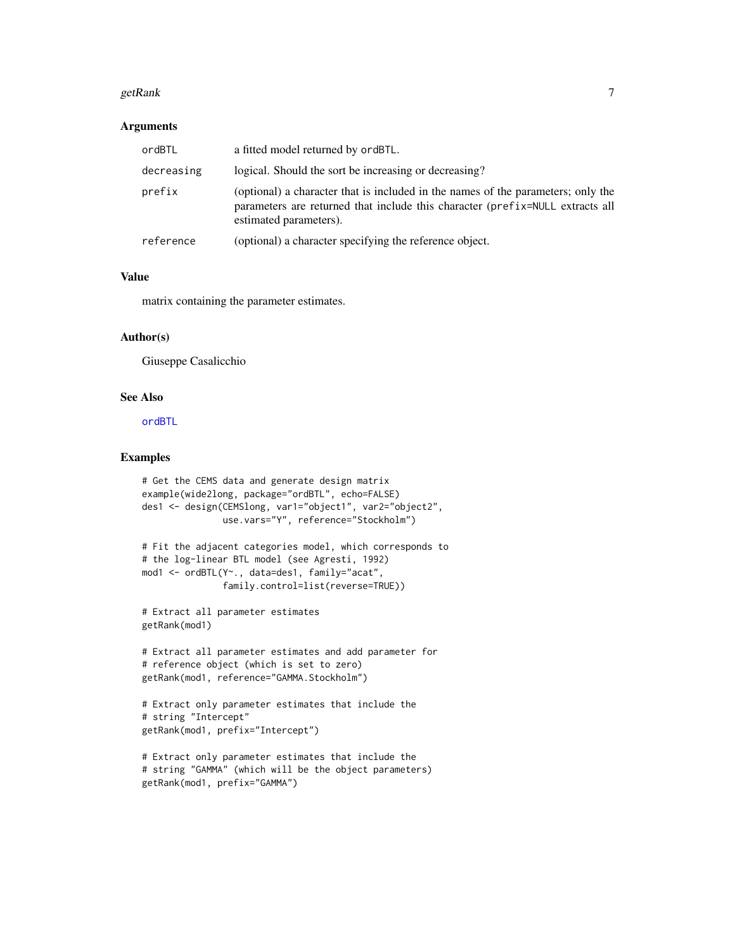#### <span id="page-6-0"></span> $getRank$  and  $7$

#### **Arguments**

| ordBTL     | a fitted model returned by ordBTL.                                                                                                                                                          |
|------------|---------------------------------------------------------------------------------------------------------------------------------------------------------------------------------------------|
| decreasing | logical. Should the sort be increasing or decreasing?                                                                                                                                       |
| prefix     | (optional) a character that is included in the names of the parameters; only the<br>parameters are returned that include this character (prefix=NULL extracts all<br>estimated parameters). |
| reference  | (optional) a character specifying the reference object.                                                                                                                                     |

# Value

matrix containing the parameter estimates.

# Author(s)

Giuseppe Casalicchio

# See Also

[ordBTL](#page-7-1)

# Examples

```
# Get the CEMS data and generate design matrix
example(wide2long, package="ordBTL", echo=FALSE)
des1 <- design(CEMSlong, var1="object1", var2="object2",
              use.vars="Y", reference="Stockholm")
# Fit the adjacent categories model, which corresponds to
# the log-linear BTL model (see Agresti, 1992)
mod1 <- ordBTL(Y~., data=des1, family="acat",
              family.control=list(reverse=TRUE))
# Extract all parameter estimates
getRank(mod1)
# Extract all parameter estimates and add parameter for
# reference object (which is set to zero)
getRank(mod1, reference="GAMMA.Stockholm")
# Extract only parameter estimates that include the
# string "Intercept"
getRank(mod1, prefix="Intercept")
# Extract only parameter estimates that include the
# string "GAMMA" (which will be the object parameters)
getRank(mod1, prefix="GAMMA")
```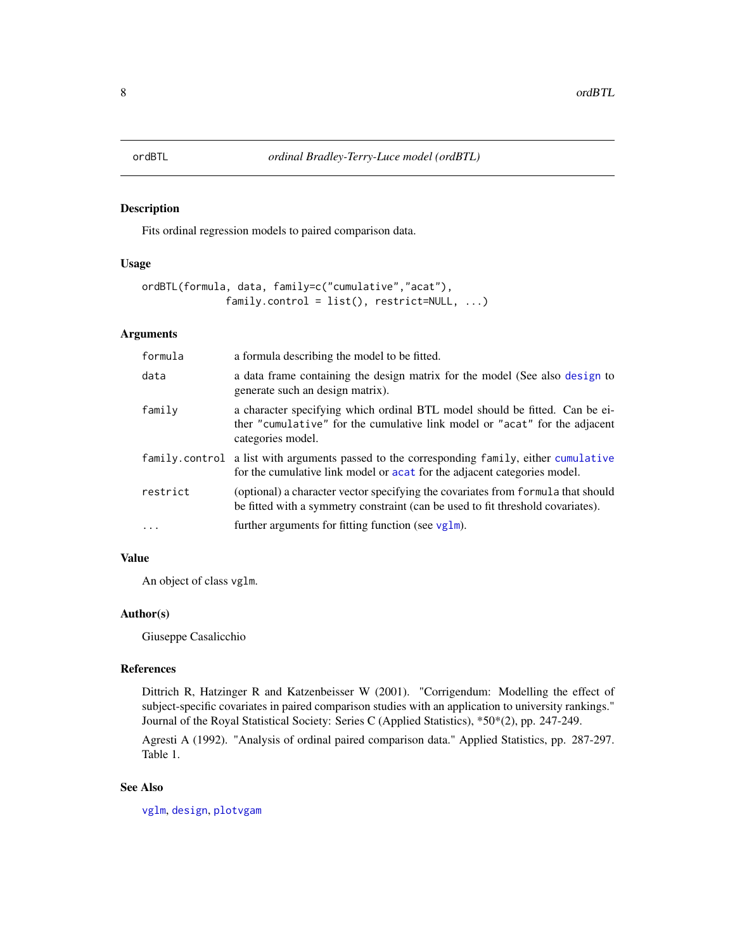# <span id="page-7-1"></span><span id="page-7-0"></span>Description

Fits ordinal regression models to paired comparison data.

# Usage

```
ordBTL(formula, data, family=c("cumulative","acat"),
              family.control = list(), restrict=NULL, ...)
```
# Arguments

| formula  | a formula describing the model to be fitted.                                                                                                                                   |
|----------|--------------------------------------------------------------------------------------------------------------------------------------------------------------------------------|
| data     | a data frame containing the design matrix for the model (See also design to<br>generate such an design matrix).                                                                |
| family   | a character specifying which ordinal BTL model should be fitted. Can be ei-<br>ther "cumulative" for the cumulative link model or "acat" for the adjacent<br>categories model. |
|          | family control a list with arguments passed to the corresponding family, either cumulative<br>for the cumulative link model or acat for the adjacent categories model.         |
| restrict | (optional) a character vector specifying the covariates from formula that should<br>be fitted with a symmetry constraint (can be used to fit threshold covariates).            |
| $\ddots$ | further arguments for fitting function (see $vg1m$ ).                                                                                                                          |

# Value

An object of class vglm.

# Author(s)

Giuseppe Casalicchio

# References

Dittrich R, Hatzinger R and Katzenbeisser W (2001). "Corrigendum: Modelling the effect of subject-specific covariates in paired comparison studies with an application to university rankings." Journal of the Royal Statistical Society: Series C (Applied Statistics), \*50\*(2), pp. 247-249.

Agresti A (1992). "Analysis of ordinal paired comparison data." Applied Statistics, pp. 287-297. Table 1.

#### See Also

[vglm](#page-0-0), [design](#page-4-1), [plotvgam](#page-0-0)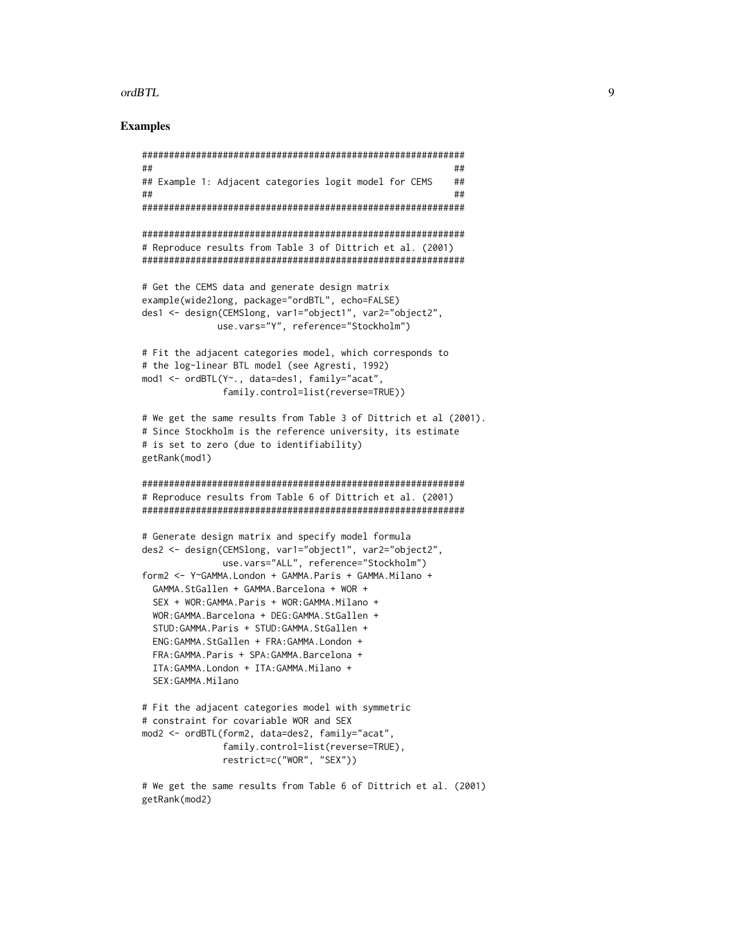#### ordBTL 9

# Examples

```
############################################################
## ##
## Example 1: Adjacent categories logit model for CEMS ##
## ##
############################################################
############################################################
# Reproduce results from Table 3 of Dittrich et al. (2001)
############################################################
# Get the CEMS data and generate design matrix
example(wide2long, package="ordBTL", echo=FALSE)
des1 <- design(CEMSlong, var1="object1", var2="object2",
             use.vars="Y", reference="Stockholm")
# Fit the adjacent categories model, which corresponds to
# the log-linear BTL model (see Agresti, 1992)
mod1 <- ordBTL(Y~., data=des1, family="acat",
              family.control=list(reverse=TRUE))
# We get the same results from Table 3 of Dittrich et al (2001).
# Since Stockholm is the reference university, its estimate
# is set to zero (due to identifiability)
getRank(mod1)
############################################################
# Reproduce results from Table 6 of Dittrich et al. (2001)
############################################################
# Generate design matrix and specify model formula
des2 <- design(CEMSlong, var1="object1", var2="object2",
              use.vars="ALL", reference="Stockholm")
form2 <- Y~GAMMA.London + GAMMA.Paris + GAMMA.Milano +
 GAMMA.StGallen + GAMMA.Barcelona + WOR +
 SEX + WOR:GAMMA.Paris + WOR:GAMMA.Milano +
 WOR:GAMMA.Barcelona + DEG:GAMMA.StGallen +
 STUD:GAMMA.Paris + STUD:GAMMA.StGallen +
 ENG:GAMMA.StGallen + FRA:GAMMA.London +
 FRA:GAMMA.Paris + SPA:GAMMA.Barcelona +
 ITA:GAMMA.London + ITA:GAMMA.Milano +
 SEX:GAMMA.Milano
# Fit the adjacent categories model with symmetric
# constraint for covariable WOR and SEX
mod2 <- ordBTL(form2, data=des2, family="acat",
              family.control=list(reverse=TRUE),
              restrict=c("WOR", "SEX"))
# We get the same results from Table 6 of Dittrich et al. (2001)
getRank(mod2)
```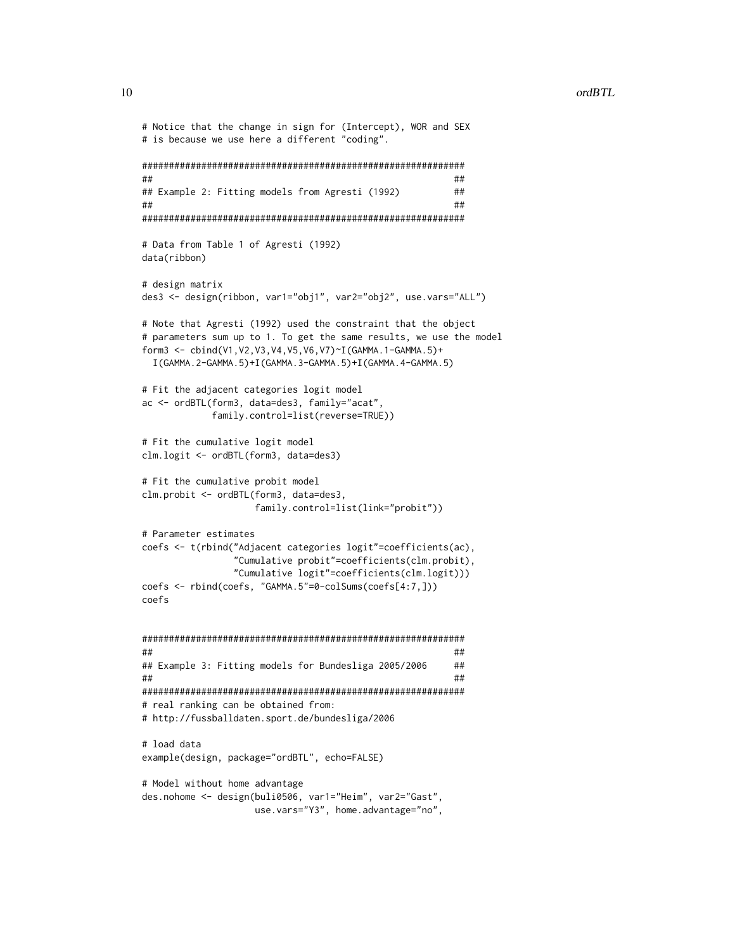```
# Notice that the change in sign for (Intercept), WOR and SEX
# is because we use here a different "coding".
############################################################
## ##
## Example 2: Fitting models from Agresti (1992) ##
## ##
############################################################
# Data from Table 1 of Agresti (1992)
data(ribbon)
# design matrix
des3 <- design(ribbon, var1="obj1", var2="obj2", use.vars="ALL")
# Note that Agresti (1992) used the constraint that the object
# parameters sum up to 1. To get the same results, we use the model
form3 <- cbind(V1,V2,V3,V4,V5,V6,V7)~I(GAMMA.1-GAMMA.5)+
 I(GAMMA.2-GAMMA.5)+I(GAMMA.3-GAMMA.5)+I(GAMMA.4-GAMMA.5)
# Fit the adjacent categories logit model
ac <- ordBTL(form3, data=des3, family="acat",
           family.control=list(reverse=TRUE))
# Fit the cumulative logit model
clm.logit <- ordBTL(form3, data=des3)
# Fit the cumulative probit model
clm.probit <- ordBTL(form3, data=des3,
                  family.control=list(link="probit"))
# Parameter estimates
coefs <- t(rbind("Adjacent categories logit"=coefficients(ac),
               "Cumulative probit"=coefficients(clm.probit),
               "Cumulative logit"=coefficients(clm.logit)))
coefs <- rbind(coefs, "GAMMA.5"=0-colSums(coefs[4:7,]))
coefs
############################################################
## ##
## Example 3: Fitting models for Bundesliga 2005/2006 ##
## ##
############################################################
# real ranking can be obtained from:
# http://fussballdaten.sport.de/bundesliga/2006
# load data
example(design, package="ordBTL", echo=FALSE)
# Model without home advantage
des.nohome <- design(buli0506, var1="Heim", var2="Gast",
                  use.vars="Y3", home.advantage="no",
```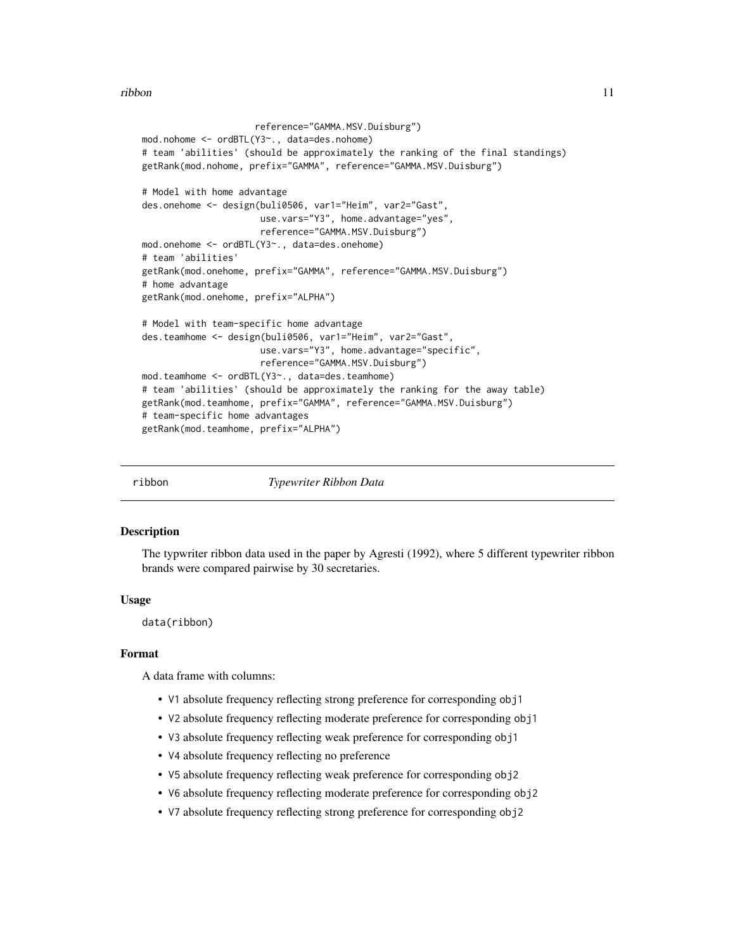#### <span id="page-10-0"></span>ribbon 11

```
reference="GAMMA.MSV.Duisburg")
mod.nohome <- ordBTL(Y3~., data=des.nohome)
# team 'abilities' (should be approximately the ranking of the final standings)
getRank(mod.nohome, prefix="GAMMA", reference="GAMMA.MSV.Duisburg")
# Model with home advantage
des.onehome <- design(buli0506, var1="Heim", var2="Gast",
                     use.vars="Y3", home.advantage="yes",
                      reference="GAMMA.MSV.Duisburg")
mod.onehome <- ordBTL(Y3~., data=des.onehome)
# team 'abilities'
getRank(mod.onehome, prefix="GAMMA", reference="GAMMA.MSV.Duisburg")
# home advantage
getRank(mod.onehome, prefix="ALPHA")
# Model with team-specific home advantage
des.teamhome <- design(buli0506, var1="Heim", var2="Gast",
                      use.vars="Y3", home.advantage="specific",
                      reference="GAMMA.MSV.Duisburg")
mod.teamhome <- ordBTL(Y3~., data=des.teamhome)
# team 'abilities' (should be approximately the ranking for the away table)
getRank(mod.teamhome, prefix="GAMMA", reference="GAMMA.MSV.Duisburg")
# team-specific home advantages
getRank(mod.teamhome, prefix="ALPHA")
```
ribbon *Typewriter Ribbon Data*

#### **Description**

The typwriter ribbon data used in the paper by Agresti (1992), where 5 different typewriter ribbon brands were compared pairwise by 30 secretaries.

#### Usage

data(ribbon)

# Format

A data frame with columns:

- V1 absolute frequency reflecting strong preference for corresponding obj1
- V2 absolute frequency reflecting moderate preference for corresponding obj1
- V3 absolute frequency reflecting weak preference for corresponding obj1
- V4 absolute frequency reflecting no preference
- V5 absolute frequency reflecting weak preference for corresponding obj2
- V6 absolute frequency reflecting moderate preference for corresponding obj2
- V7 absolute frequency reflecting strong preference for corresponding obj2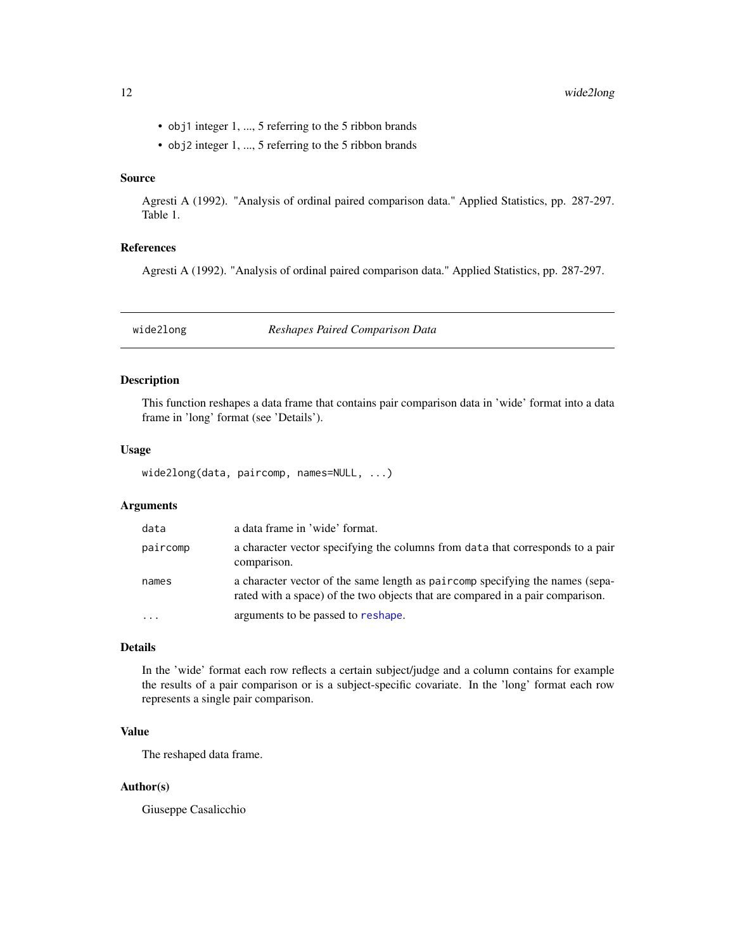- <span id="page-11-0"></span>• obj1 integer 1, ..., 5 referring to the 5 ribbon brands
- obj2 integer 1, ..., 5 referring to the 5 ribbon brands

# Source

Agresti A (1992). "Analysis of ordinal paired comparison data." Applied Statistics, pp. 287-297. Table 1.

# References

Agresti A (1992). "Analysis of ordinal paired comparison data." Applied Statistics, pp. 287-297.

<span id="page-11-1"></span>wide2long *Reshapes Paired Comparison Data*

#### Description

This function reshapes a data frame that contains pair comparison data in 'wide' format into a data frame in 'long' format (see 'Details').

#### Usage

wide2long(data, paircomp, names=NULL, ...)

# Arguments

| data     | a data frame in 'wide' format.                                                                                                                                  |
|----------|-----------------------------------------------------------------------------------------------------------------------------------------------------------------|
| paircomp | a character vector specifying the columns from data that corresponds to a pair<br>comparison.                                                                   |
| names    | a character vector of the same length as paircomp specifying the names (sepa-<br>rated with a space) of the two objects that are compared in a pair comparison. |
| $\cdots$ | arguments to be passed to reshape.                                                                                                                              |

# Details

In the 'wide' format each row reflects a certain subject/judge and a column contains for example the results of a pair comparison or is a subject-specific covariate. In the 'long' format each row represents a single pair comparison.

# Value

The reshaped data frame.

# Author(s)

Giuseppe Casalicchio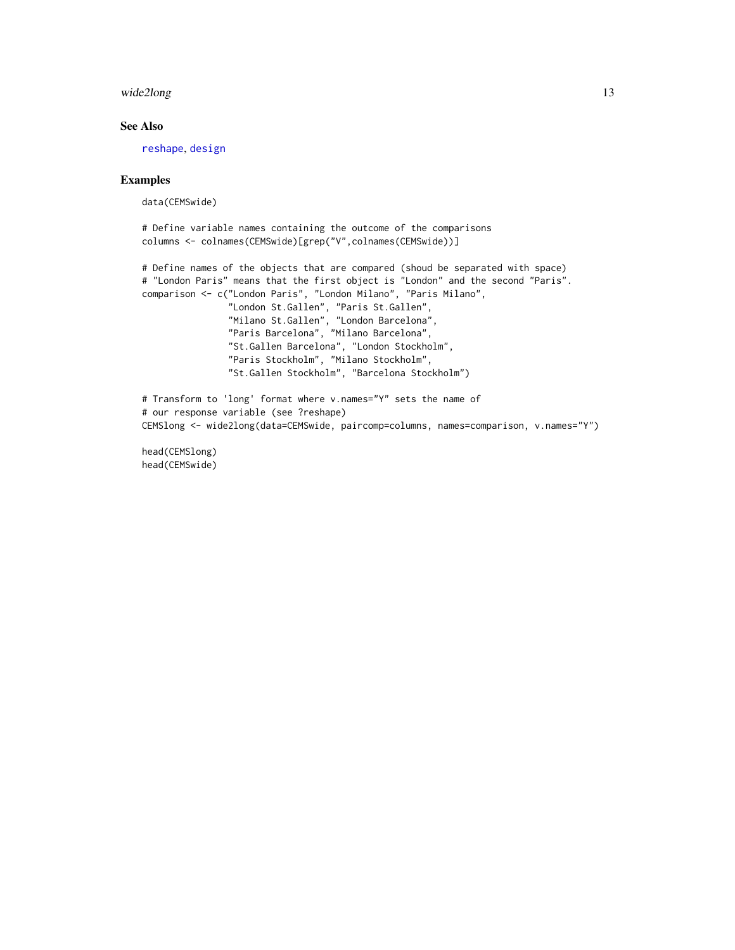# <span id="page-12-0"></span>wide2long 13

# See Also

[reshape](#page-0-0), [design](#page-4-1)

#### Examples

data(CEMSwide)

```
# Define variable names containing the outcome of the comparisons
columns <- colnames(CEMSwide)[grep("V",colnames(CEMSwide))]
```

```
# Define names of the objects that are compared (shoud be separated with space)
# "London Paris" means that the first object is "London" and the second "Paris".
comparison <- c("London Paris", "London Milano", "Paris Milano",
                "London St.Gallen", "Paris St.Gallen",
                "Milano St.Gallen", "London Barcelona",
                "Paris Barcelona", "Milano Barcelona",
                "St.Gallen Barcelona", "London Stockholm",
                "Paris Stockholm", "Milano Stockholm",
                "St.Gallen Stockholm", "Barcelona Stockholm")
# Transform to 'long' format where v.names="Y" sets the name of
# our response variable (see ?reshape)
CEMSlong <- wide2long(data=CEMSwide, paircomp=columns, names=comparison, v.names="Y")
```
head(CEMSlong) head(CEMSwide)